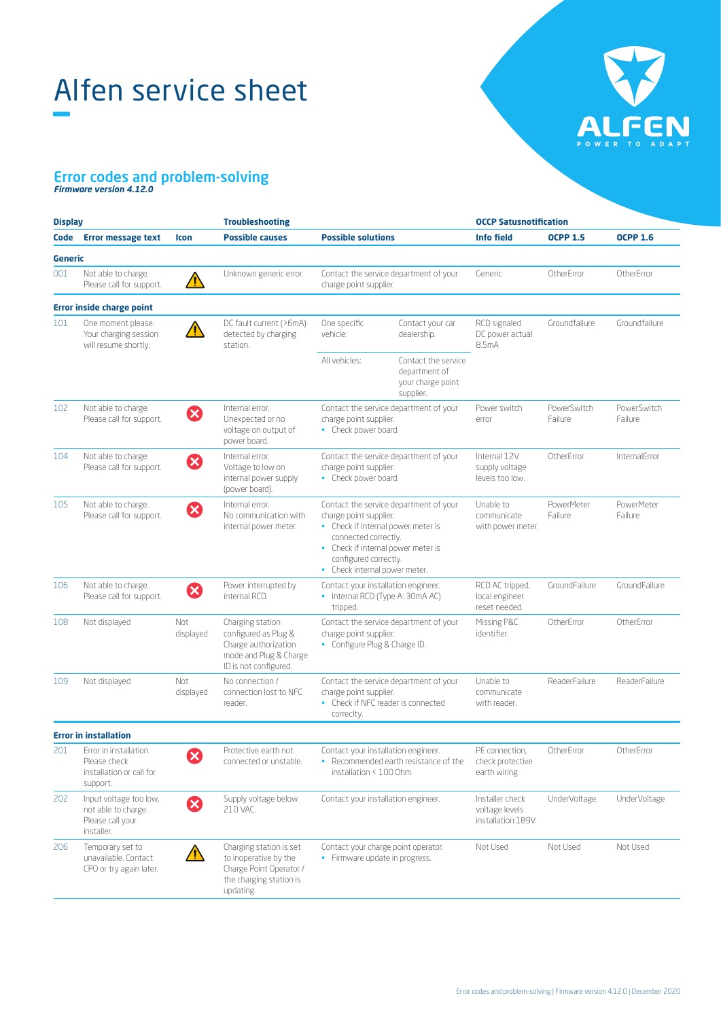# Alfen service sheet –



### Error codes and problem-solving *Firmware version 4.12.0*

| <b>Display</b> |                                                                                 |                       | <b>Troubleshooting</b>                                                                                              |                                                                                                                                                                                                                                |                                                                        | <b>OCCP Satusnotification</b>                           |                              |                        |
|----------------|---------------------------------------------------------------------------------|-----------------------|---------------------------------------------------------------------------------------------------------------------|--------------------------------------------------------------------------------------------------------------------------------------------------------------------------------------------------------------------------------|------------------------------------------------------------------------|---------------------------------------------------------|------------------------------|------------------------|
| Code           | <b>Error message text</b>                                                       | <b>Icon</b>           | <b>Possible causes</b>                                                                                              | <b>Possible solutions</b>                                                                                                                                                                                                      |                                                                        | <b>Info field</b>                                       | <b>OCPP 1.5</b>              | <b>OCPP 1.6</b>        |
| Generic        |                                                                                 |                       |                                                                                                                     |                                                                                                                                                                                                                                |                                                                        |                                                         |                              |                        |
| 001            | Not able to charge.<br>Please call for support.                                 | Ţ                     | Unknown generic error.                                                                                              | Contact the service department of your<br>charge point supplier.                                                                                                                                                               |                                                                        | Generic                                                 | OtherError                   | OtherError             |
|                | <b>Error inside charge point</b>                                                |                       |                                                                                                                     |                                                                                                                                                                                                                                |                                                                        |                                                         |                              |                        |
| 101            | One moment please.<br>Your charging session<br>will resume shortly.             | T                     | DC fault current (>6mA)<br>detected by charging<br>station.                                                         | One specific<br>vehicle:                                                                                                                                                                                                       | Contact your car<br>dealership.                                        | RCD signaled<br>DC power actual<br>8.5mA                | Groundfailure                | Groundfailure          |
|                |                                                                                 |                       |                                                                                                                     | All vehicles:                                                                                                                                                                                                                  | Contact the service<br>department of<br>your charge point<br>supplier. |                                                         |                              |                        |
| 102            | Not able to charge.<br>Please call for support.                                 | Ø                     | Internal error.<br>Unexpected or no<br>voltage on output of<br>power board.                                         | Contact the service department of your<br>charge point supplier.<br>• Check power board.                                                                                                                                       |                                                                        | Power switch<br>error                                   | PowerSwitch<br>Failure       | PowerSwitch<br>Failure |
| 104            | Not able to charge.<br>Please call for support.                                 | $\boldsymbol{\Omega}$ | Internal error.<br>Voltage to low on<br>internal power supply<br>(power board).                                     | Contact the service department of your<br>charge point supplier.<br>• Check power board.                                                                                                                                       |                                                                        | Internal 12V<br>supply voltage<br>levels too low.       | OtherError                   | InternalError          |
| 105            | Not able to charge.<br>Please call for support.                                 | $\boldsymbol{\Omega}$ | Internal error.<br>No communication with<br>internal power meter.                                                   | Contact the service department of your<br>charge point supplier.<br>• Check if internal power meter is<br>connected correctly.<br>• Check if internal power meter is<br>configured correctly.<br>• Check internal power meter. |                                                                        | Unable to<br>communicate<br>with power meter.           | <b>PowerMeter</b><br>Failure | PowerMeter<br>Failure  |
| 106            | Not able to charge.<br>Please call for support.                                 | Ø                     | Power interrupted by<br>internal RCD.                                                                               | Contact your installation engineer.<br>• Internal RCD (Type A: 30mA AC)<br>tripped.                                                                                                                                            |                                                                        | RCD AC tripped,<br>local engineer<br>reset needed.      | GroundFailure                | GroundFailure          |
| 108            | Not displayed                                                                   | Not<br>displayed      | Charging station<br>configured as Plug &<br>Charge authorization<br>mode and Plug & Charge<br>ID is not configured. | Contact the service department of your<br>charge point supplier.<br>• Configure Plug & Charge ID.                                                                                                                              |                                                                        | Missing P&C<br>identifier.                              | OtherError                   | OtherError             |
| 109            | Not displayed                                                                   | Not<br>displayed      | No connection /<br>connection lost to NFC<br>reader.                                                                | Contact the service department of your<br>charge point supplier.<br>• Check if NFC reader is connected<br>correcity.                                                                                                           |                                                                        | Unable to<br>communicate<br>with reader.                | ReaderFailure                | ReaderFailure          |
|                | <b>Error in installation</b>                                                    |                       |                                                                                                                     |                                                                                                                                                                                                                                |                                                                        |                                                         |                              |                        |
| 201            | Error in installation.<br>Please check<br>installation or call for<br>support.  | $\blacktriangledown$  | Protective earth not<br>connected or unstable.                                                                      | Contact your installation engineer.<br>• Recommended earth resistance of the<br>installation < 100 Ohm.                                                                                                                        |                                                                        | PE connection.<br>check protective<br>earth wiring.     | OtherFrror                   | OtherError             |
| 202            | Input voltage too low,<br>not able to charge.<br>Please call your<br>installer. | Ø                     | Supply voltage below<br>210 VAC.                                                                                    | Contact your installation engineer.                                                                                                                                                                                            |                                                                        | Installer check<br>voltage levels<br>installation:189V. | UnderVoltage                 | UnderVoltage           |
| 206            | Temporary set to<br>unavailable. Contact<br>CPO or try again later.             | ⁄!\                   | Charging station is set<br>to inoperative by the<br>Charge Point Operator /<br>the charging station is<br>updating. | Contact your charge point operator.<br>• Firmware update in progress.                                                                                                                                                          |                                                                        | Not Used                                                | Not Used                     | Not Used               |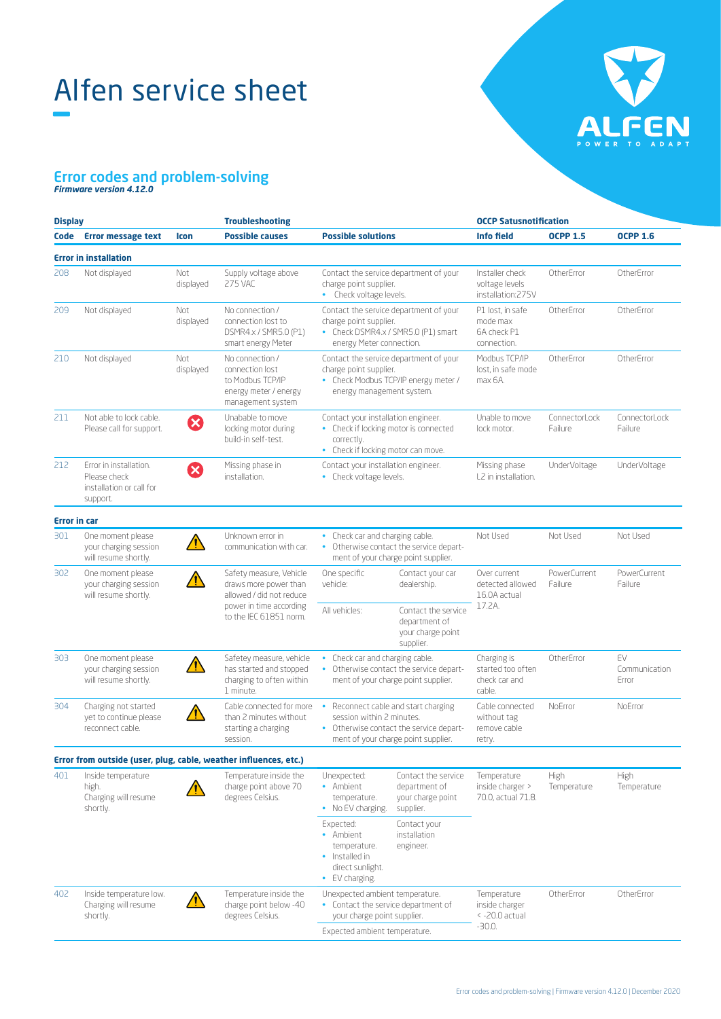# Alfen service sheet –



### Error codes and problem-solving *Firmware version 4.12.0*

| <b>Display</b>      |                                                                                |                  | <b>Troubleshooting</b>                                                                               |                                                                                                                                                     |                                                                        | <b>OCCP Satusnotification</b>                               |                            |                               |
|---------------------|--------------------------------------------------------------------------------|------------------|------------------------------------------------------------------------------------------------------|-----------------------------------------------------------------------------------------------------------------------------------------------------|------------------------------------------------------------------------|-------------------------------------------------------------|----------------------------|-------------------------------|
| Code                | <b>Error message text</b>                                                      | Icon             | <b>Possible causes</b>                                                                               | <b>Possible solutions</b>                                                                                                                           |                                                                        | <b>Info field</b>                                           | <b>OCPP 1.5</b>            | <b>OCPP 1.6</b>               |
|                     | <b>Error in installation</b>                                                   |                  |                                                                                                      |                                                                                                                                                     |                                                                        |                                                             |                            |                               |
| 208                 | Not displayed                                                                  | Not<br>displayed | Supply voltage above<br><b>275 VAC</b>                                                               | Contact the service department of your<br>charge point supplier.<br>• Check voltage levels.                                                         |                                                                        | Installer check<br>voltage levels<br>installation:275V      | OtherError                 | OtherError                    |
| 209                 | Not displayed                                                                  | Not<br>displayed | No connection /<br>connection lost to<br>DSMR4.x / SMR5.0 (P1)<br>smart energy Meter                 | Contact the service department of your<br>charge point supplier.<br>• Check DSMR4.x / SMR5.0 (P1) smart<br>energy Meter connection.                 |                                                                        | P1 lost, in safe<br>mode max<br>6A check P1<br>connection.  | OtherError                 | OtherError                    |
| 210                 | Not displayed                                                                  | Not<br>displayed | No connection /<br>connection lost<br>to Modbus TCP/IP<br>energy meter / energy<br>management system | Contact the service department of your<br>charge point supplier.<br>• Check Modbus TCP/IP energy meter /<br>energy management system.               |                                                                        | Modbus TCP/IP<br>lost, in safe mode<br>max 6A.              | OtherFrror                 | OtherError                    |
| 211                 | Not able to lock cable.<br>Please call for support.                            | ×                | Unabable to move<br>locking motor during<br>build-in self-test.                                      | Contact your installation engineer.<br>• Check if locking motor is connected<br>correctly.<br>• Check if locking motor can move.                    |                                                                        | Unable to move<br>lock motor.                               | ConnectorLock<br>Failure   | ConnectorLock<br>Failure      |
| 212                 | Error in installation.<br>Please check<br>installation or call for<br>support. | ×                | Missing phase in<br>installation.                                                                    | Contact your installation engineer.<br>• Check voltage levels.                                                                                      |                                                                        | Missing phase<br>L2 in installation.                        | UnderVoltage               | UnderVoltage                  |
| <b>Error in car</b> |                                                                                |                  |                                                                                                      |                                                                                                                                                     |                                                                        |                                                             |                            |                               |
| 301                 | One moment please<br>your charging session<br>will resume shortly.             |                  | Unknown error in<br>communication with car.                                                          | • Check car and charging cable.<br>Otherwise contact the service depart-<br>$\bullet$<br>ment of your charge point supplier.                        |                                                                        | Not Used                                                    | Not Used                   | Not Used                      |
| 302                 | One moment please<br>your charging session<br>will resume shortly.             |                  | Safety measure, Vehicle<br>draws more power than<br>allowed / did not reduce                         | One specific<br>vehicle:                                                                                                                            | Contact your car<br>dealership.                                        | Over current<br>detected allowed<br>16.0A actual<br>17.2A.  | PowerCurrent<br>Failure    | PowerCurrent<br>Failure       |
|                     |                                                                                |                  | power in time according<br>to the IEC 61851 norm.                                                    | All vehicles:                                                                                                                                       | Contact the service<br>department of<br>your charge point<br>supplier. |                                                             |                            |                               |
| 303                 | One moment please<br>your charging session<br>will resume shortly.             |                  | Safetey measure, vehicle<br>has started and stopped<br>charging to often within<br>1 minute.         | • Check car and charging cable.<br>• Otherwise contact the service depart-<br>ment of your charge point supplier.                                   |                                                                        | Charging is<br>started too often<br>check car and<br>cable. | OtherError                 | FV.<br>Communication<br>Error |
| 304                 | Charging not started<br>vet to continue please<br>reconnect cable.             |                  | Cable connected for more<br>than 2 minutes without<br>starting a charging<br>session.                | • Reconnect cable and start charging<br>session within 2 minutes.<br>• Otherwise contact the service depart-<br>ment of your charge point supplier. |                                                                        | Cable connected<br>without tag<br>remove cable<br>retry.    | NoError                    | NoError                       |
|                     | Error from outside (user, plug, cable, weather influences, etc.)               |                  |                                                                                                      |                                                                                                                                                     |                                                                        |                                                             |                            |                               |
| 401                 | Inside temperature<br>high.<br>Charging will resume<br>shortly.                |                  | Temperature inside the<br>charge point above 70<br>degrees Celsius.                                  | Unexpected:<br>• Ambient<br>temperature.<br>• No EV charging.                                                                                       | Contact the service<br>department of<br>your charge point<br>supplier. | Temperature<br>inside charger ><br>70.0, actual 71.8.       | <b>High</b><br>Temperature | <b>High</b><br>Temperature    |
|                     |                                                                                |                  |                                                                                                      | Expected:<br>• Ambient<br>temperature.<br>• Installed in<br>direct sunlight.<br>• EV charging.                                                      | Contact your<br>installation<br>engineer.                              |                                                             |                            |                               |
| 402                 | Inside temperature low.<br>Charging will resume<br>shortly.                    | /!\              | Temperature inside the<br>charge point below -40<br>degrees Celsius.                                 | Unexpected ambient temperature.<br>• Contact the service department of<br>your charge point supplier.<br>Expected ambient temperature.              |                                                                        | Temperature<br>inside charger<br><-20.0 actual<br>$-30.0.$  | OtherFrror                 | OtherError                    |